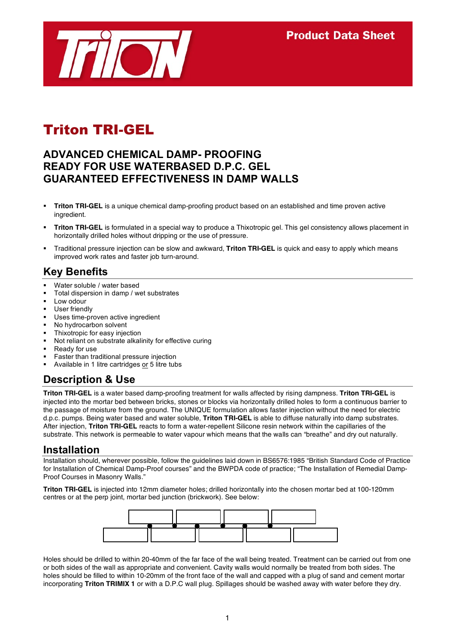

# Triton TRI-GEL

#### **ADVANCED CHEMICAL DAMP- PROOFING READY FOR USE WATERBASED D.P.C. GEL GUARANTEED EFFECTIVENESS IN DAMP WALLS**

- **Triton TRI-GEL** is a unique chemical damp-proofing product based on an established and time proven active ingredient.
- **Triton TRI-GEL** is formulated in a special way to produce a Thixotropic gel. This gel consistency allows placement in horizontally drilled holes without dripping or the use of pressure.
- Traditional pressure injection can be slow and awkward, **Triton TRI-GEL** is quick and easy to apply which means improved work rates and faster job turn-around.

# **Key Benefits**

- Water soluble / water based
- Total dispersion in damp / wet substrates
- Low odour
- User friendly
- Uses time-proven active ingredient
- No hydrocarbon solvent
- Thixotropic for easy injection
- Not reliant on substrate alkalinity for effective curing
- Ready for use
- Faster than traditional pressure injection
- Available in 1 litre cartridges or 5 litre tubs

# **Description & Use**

**Triton TRI-GEL** is a water based damp-proofing treatment for walls affected by rising dampness. **Triton TRI-GEL** is injected into the mortar bed between bricks, stones or blocks via horizontally drilled holes to form a continuous barrier to the passage of moisture from the ground. The UNIQUE formulation allows faster injection without the need for electric d.p.c. pumps. Being water based and water soluble, **Triton TRI-GEL** is able to diffuse naturally into damp substrates. After injection, **Triton TRI-GEL** reacts to form a water-repellent Silicone resin network within the capillaries of the substrate. This network is permeable to water vapour which means that the walls can "breathe" and dry out naturally.

#### **Installation**

Installation should, wherever possible, follow the guidelines laid down in BS6576:1985 "British Standard Code of Practice for Installation of Chemical Damp-Proof courses" and the BWPDA code of practice; "The Installation of Remedial Damp-Proof Courses in Masonry Walls."

**Triton TRI-GEL** is injected into 12mm diameter holes; drilled horizontally into the chosen mortar bed at 100-120mm centres or at the perp joint, mortar bed junction (brickwork). See below:



Holes should be drilled to within 20-40mm of the far face of the wall being treated. Treatment can be carried out from one or both sides of the wall as appropriate and convenient. Cavity walls would normally be treated from both sides. The holes should be filled to within 10-20mm of the front face of the wall and capped with a plug of sand and cement mortar incorporating **Triton TRIMIX 1** or with a D.P.C wall plug. Spillages should be washed away with water before they dry.